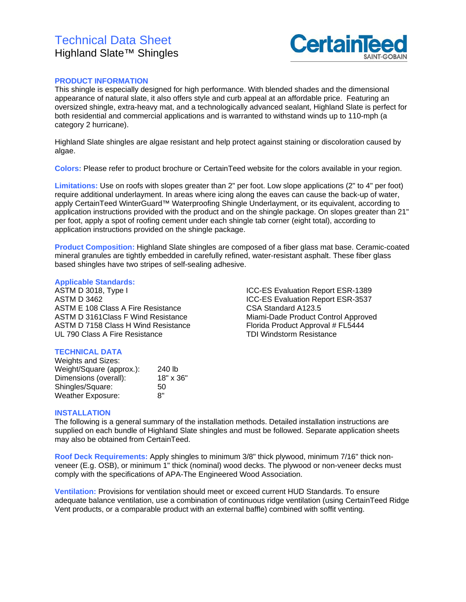# Technical Data Sheet Highland Slate™ Shingles



## **PRODUCT INFORMATION**

This shingle is especially designed for high performance. With blended shades and the dimensional appearance of natural slate, it also offers style and curb appeal at an affordable price. Featuring an oversized shingle, extra-heavy mat, and a technologically advanced sealant, Highland Slate is perfect for both residential and commercial applications and is warranted to withstand winds up to 110-mph (a category 2 hurricane).

Highland Slate shingles are algae resistant and help protect against staining or discoloration caused by algae.

**Colors:** Please refer to product brochure or CertainTeed website for the colors available in your region.

**Limitations:** Use on roofs with slopes greater than 2" per foot. Low slope applications (2" to 4" per foot) require additional underlayment. In areas where icing along the eaves can cause the back-up of water, apply CertainTeed WinterGuard™ Waterproofing Shingle Underlayment, or its equivalent, according to application instructions provided with the product and on the shingle package. On slopes greater than 21" per foot, apply a spot of roofing cement under each shingle tab corner (eight total), according to application instructions provided on the shingle package.

**Product Composition:** Highland Slate shingles are composed of a fiber glass mat base. Ceramic-coated mineral granules are tightly embedded in carefully refined, water-resistant asphalt. These fiber glass based shingles have two stripes of self-sealing adhesive.

#### **Applicable Standards:**

ASTM D 3018, Type I ASTM D 3462 ASTM E 108 Class A Fire Resistance ASTM D 3161Class F Wind Resistance ASTM D 7158 Class H Wind Resistance UL 790 Class A Fire Resistance

ICC-ES Evaluation Report ESR-1389 ICC-ES Evaluation Report ESR-3537 CSA Standard A123.5 Miami-Dade Product Control Approved Florida Product Approval # FL5444 TDI Windstorm Resistance

## **TECHNICAL DATA**

| Weights and Sizes:       |           |
|--------------------------|-----------|
| Weight/Square (approx.): | 240 lb    |
| Dimensions (overall):    | 18" x 36" |
| Shingles/Square:         | 50        |
| <b>Weather Exposure:</b> | יא        |

#### **INSTALLATION**

The following is a general summary of the installation methods. Detailed installation instructions are supplied on each bundle of Highland Slate shingles and must be followed. Separate application sheets may also be obtained from CertainTeed.

**Roof Deck Requirements:** Apply shingles to minimum 3/8" thick plywood, minimum 7/16" thick nonveneer (E.g. OSB), or minimum 1" thick (nominal) wood decks. The plywood or non-veneer decks must comply with the specifications of APA-The Engineered Wood Association.

**Ventilation:** Provisions for ventilation should meet or exceed current HUD Standards. To ensure adequate balance ventilation, use a combination of continuous ridge ventilation (using CertainTeed Ridge Vent products, or a comparable product with an external baffle) combined with soffit venting.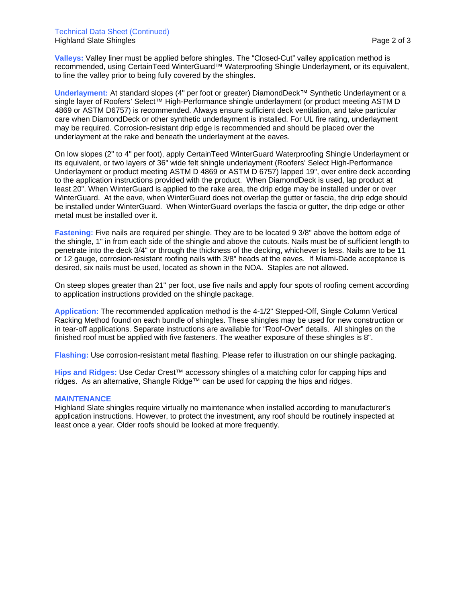#### Technical Data Sheet (Continued) Highland Slate Shingles Page 2 of 3

**Valleys:** Valley liner must be applied before shingles. The "Closed-Cut" valley application method is recommended, using CertainTeed WinterGuard<sup>™</sup> Waterproofing Shingle Underlayment, or its equivalent, to line the valley prior to being fully covered by the shingles.

**Underlayment:** At standard slopes (4" per foot or greater) DiamondDeck™ Synthetic Underlayment or a single layer of Roofers' Select™ High-Performance shingle underlayment (or product meeting ASTM D 4869 or ASTM D6757) is recommended. Always ensure sufficient deck ventilation, and take particular care when DiamondDeck or other synthetic underlayment is installed. For UL fire rating, underlayment may be required. Corrosion-resistant drip edge is recommended and should be placed over the underlayment at the rake and beneath the underlayment at the eaves.

On low slopes (2" to 4" per foot), apply CertainTeed WinterGuard Waterproofing Shingle Underlayment or its equivalent, or two layers of 36" wide felt shingle underlayment (Roofers' Select High-Performance Underlayment or product meeting ASTM D 4869 or ASTM D 6757) lapped 19", over entire deck according to the application instructions provided with the product. When DiamondDeck is used, lap product at least 20". When WinterGuard is applied to the rake area, the drip edge may be installed under or over WinterGuard. At the eave, when WinterGuard does not overlap the gutter or fascia, the drip edge should be installed under WinterGuard. When WinterGuard overlaps the fascia or gutter, the drip edge or other metal must be installed over it.

**Fastening:** Five nails are required per shingle. They are to be located 9 3/8" above the bottom edge of the shingle, 1" in from each side of the shingle and above the cutouts. Nails must be of sufficient length to penetrate into the deck 3/4" or through the thickness of the decking, whichever is less. Nails are to be 11 or 12 gauge, corrosion-resistant roofing nails with 3/8" heads at the eaves. If Miami-Dade acceptance is desired, six nails must be used, located as shown in the NOA. Staples are not allowed.

On steep slopes greater than 21" per foot, use five nails and apply four spots of roofing cement according to application instructions provided on the shingle package.

**Application:** The recommended application method is the 4-1/2" Stepped-Off, Single Column Vertical Racking Method found on each bundle of shingles. These shingles may be used for new construction or in tear-off applications. Separate instructions are available for "Roof-Over" details. All shingles on the finished roof must be applied with five fasteners. The weather exposure of these shingles is 8".

**Flashing:** Use corrosion-resistant metal flashing. Please refer to illustration on our shingle packaging.

**Hips and Ridges:** Use Cedar Crest™ accessory shingles of a matching color for capping hips and ridges. As an alternative, Shangle Ridge™ can be used for capping the hips and ridges.

## **MAINTENANCE**

Highland Slate shingles require virtually no maintenance when installed according to manufacturer's application instructions. However, to protect the investment, any roof should be routinely inspected at least once a year. Older roofs should be looked at more frequently.